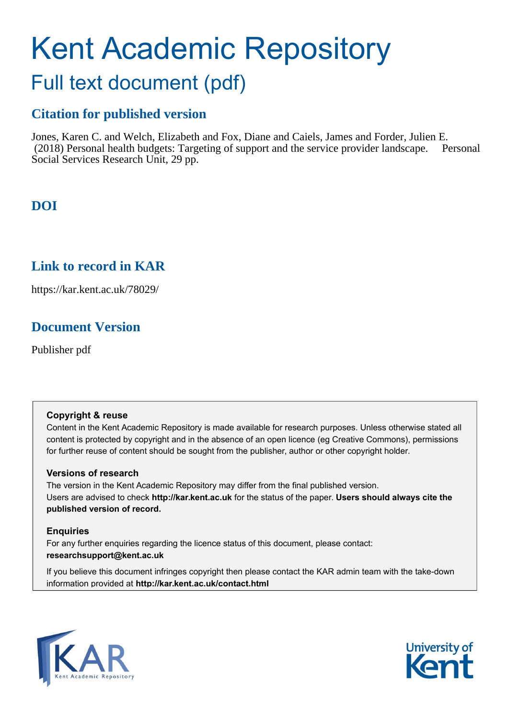# Kent Academic Repository

# Full text document (pdf)

## **Citation for published version**

Jones, Karen C. and Welch, Elizabeth and Fox, Diane and Caiels, James and Forder, Julien E. (2018) Personal health budgets: Targeting of support and the service provider landscape. Personal Social Services Research Unit, 29 pp.

# **DOI**

## **Link to record in KAR**

https://kar.kent.ac.uk/78029/

## **Document Version**

Publisher pdf

#### **Copyright & reuse**

Content in the Kent Academic Repository is made available for research purposes. Unless otherwise stated all content is protected by copyright and in the absence of an open licence (eg Creative Commons), permissions for further reuse of content should be sought from the publisher, author or other copyright holder.

#### **Versions of research**

The version in the Kent Academic Repository may differ from the final published version. Users are advised to check **http://kar.kent.ac.uk** for the status of the paper. **Users should always cite the published version of record.**

#### **Enquiries**

For any further enquiries regarding the licence status of this document, please contact: **researchsupport@kent.ac.uk**

If you believe this document infringes copyright then please contact the KAR admin team with the take-down information provided at **http://kar.kent.ac.uk/contact.html**



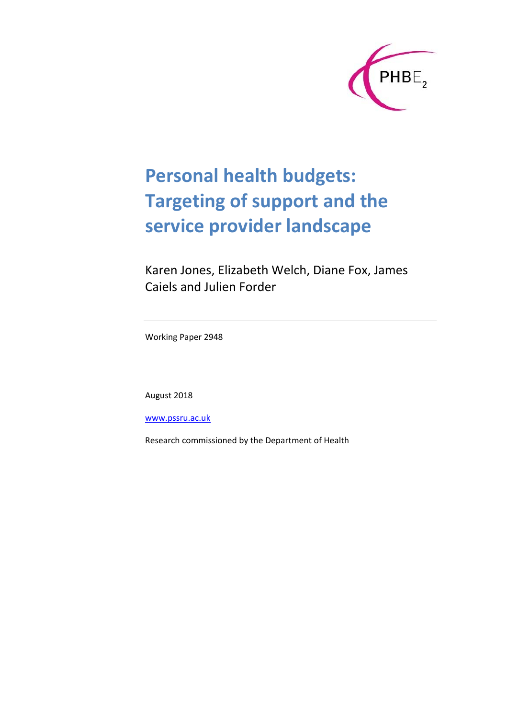

# **Personal health budgets: Targeting of support and the service provider landscape**

Karen Jones, Elizabeth Welch, Diane Fox, James Caiels and Julien Forder

Working Paper 2948

August 2018

www.pssru.ac.uk

Research commissioned by the Department of Health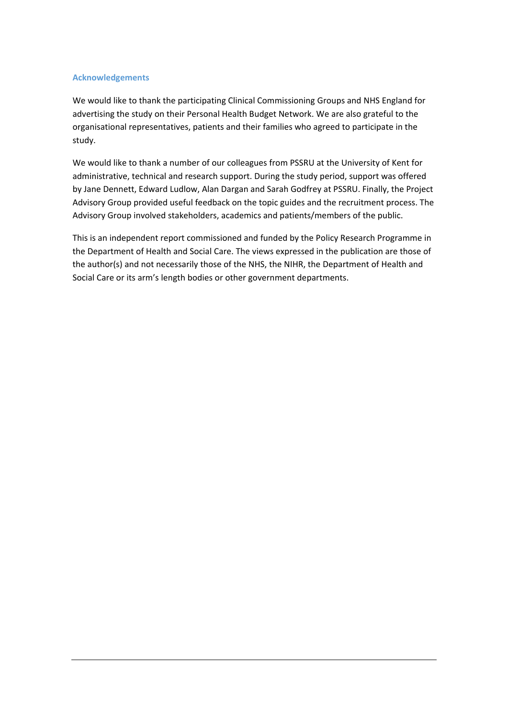#### **Acknowledgements**

We would like to thank the participating Clinical Commissioning Groups and NHS England for advertising the study on their Personal Health Budget Network. We are also grateful to the organisational representatives, patients and their families who agreed to participate in the study.

We would like to thank a number of our colleagues from PSSRU at the University of Kent for administrative, technical and research support. During the study period, support was offered by Jane Dennett, Edward Ludlow, Alan Dargan and Sarah Godfrey at PSSRU. Finally, the Project Advisory Group provided useful feedback on the topic guides and the recruitment process. The Advisory Group involved stakeholders, academics and patients/members of the public.

This is an independent report commissioned and funded by the Policy Research Programme in the Department of Health and Social Care. The views expressed in the publication are those of the author(s) and not necessarily those of the NHS, the NIHR, the Department of Health and Social Care or its arm's length bodies or other government departments.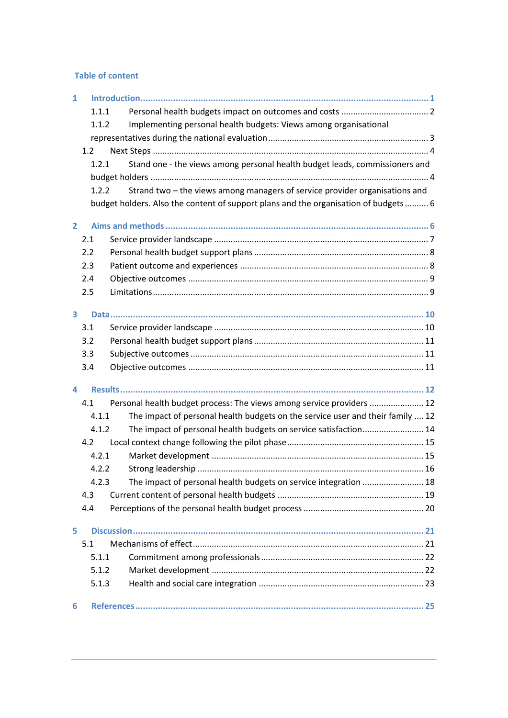#### **Table of content**

| $\mathbf{1}$            |       |                                                                                     |  |  |  |  |  |
|-------------------------|-------|-------------------------------------------------------------------------------------|--|--|--|--|--|
|                         | 1.1.1 |                                                                                     |  |  |  |  |  |
|                         | 1.1.2 | Implementing personal health budgets: Views among organisational                    |  |  |  |  |  |
|                         |       |                                                                                     |  |  |  |  |  |
|                         | 1.2   |                                                                                     |  |  |  |  |  |
|                         | 1.2.1 | Stand one - the views among personal health budget leads, commissioners and         |  |  |  |  |  |
|                         |       |                                                                                     |  |  |  |  |  |
|                         | 1.2.2 | Strand two – the views among managers of service provider organisations and         |  |  |  |  |  |
|                         |       | budget holders. Also the content of support plans and the organisation of budgets 6 |  |  |  |  |  |
| $\overline{2}$          |       |                                                                                     |  |  |  |  |  |
|                         | 2.1   |                                                                                     |  |  |  |  |  |
|                         | 2.2   |                                                                                     |  |  |  |  |  |
|                         | 2.3   |                                                                                     |  |  |  |  |  |
|                         | 2.4   |                                                                                     |  |  |  |  |  |
|                         | 2.5   |                                                                                     |  |  |  |  |  |
| $\overline{\mathbf{3}}$ |       |                                                                                     |  |  |  |  |  |
|                         | 3.1   |                                                                                     |  |  |  |  |  |
|                         | 3.2   |                                                                                     |  |  |  |  |  |
|                         | 3.3   |                                                                                     |  |  |  |  |  |
|                         | 3.4   |                                                                                     |  |  |  |  |  |
| 4                       |       |                                                                                     |  |  |  |  |  |
|                         | 4.1   | Personal health budget process: The views among service providers  12               |  |  |  |  |  |
|                         | 4.1.1 | The impact of personal health budgets on the service user and their family  12      |  |  |  |  |  |
|                         | 4.1.2 | The impact of personal health budgets on service satisfaction 14                    |  |  |  |  |  |
|                         | 4.2   |                                                                                     |  |  |  |  |  |
|                         | 4.2.1 |                                                                                     |  |  |  |  |  |
|                         | 4.2.2 |                                                                                     |  |  |  |  |  |
|                         | 4.2.3 | The impact of personal health budgets on service integration  18                    |  |  |  |  |  |
|                         | 4.3   |                                                                                     |  |  |  |  |  |
|                         | 4.4   |                                                                                     |  |  |  |  |  |
| 5.                      |       |                                                                                     |  |  |  |  |  |
|                         | 5.1   |                                                                                     |  |  |  |  |  |
|                         | 5.1.1 |                                                                                     |  |  |  |  |  |
|                         | 5.1.2 |                                                                                     |  |  |  |  |  |
|                         | 5.1.3 |                                                                                     |  |  |  |  |  |
| 6                       |       |                                                                                     |  |  |  |  |  |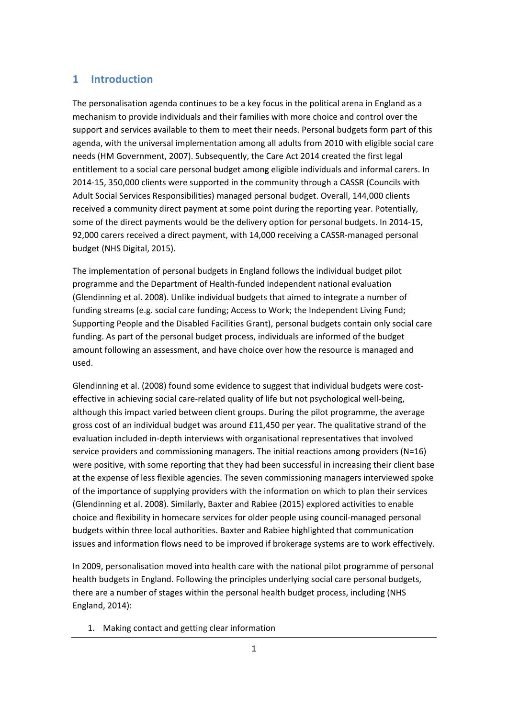#### **1 Introduction**

The personalisation agenda continues to be a key focus in the political arena in England as a mechanism to provide individuals and their families with more choice and control over the support and services available to them to meet their needs. Personal budgets form part of this agenda, with the universal implementation among all adults from 2010 with eligible social care needs (HM Government, 2007). Subsequently, the Care Act 2014 created the first legal entitlement to a social care personal budget among eligible individuals and informal carers. In 2014-15, 350,000 clients were supported in the community through a CASSR (Councils with Adult Social Services Responsibilities) managed personal budget. Overall, 144,000 clients received a community direct payment at some point during the reporting year. Potentially, some of the direct payments would be the delivery option for personal budgets. In 2014-15, 92,000 carers received a direct payment, with 14,000 receiving a CASSR-managed personal budget (NHS Digital, 2015).

The implementation of personal budgets in England follows the individual budget pilot programme and the Department of Health-funded independent national evaluation (Glendinning et al. 2008). Unlike individual budgets that aimed to integrate a number of funding streams (e.g. social care funding; Access to Work; the Independent Living Fund; Supporting People and the Disabled Facilities Grant), personal budgets contain only social care funding. As part of the personal budget process, individuals are informed of the budget amount following an assessment, and have choice over how the resource is managed and used.

Glendinning et al. (2008) found some evidence to suggest that individual budgets were costeffective in achieving social care-related quality of life but not psychological well-being, although this impact varied between client groups. During the pilot programme, the average gross cost of an individual budget was around £11,450 per year. The qualitative strand of the evaluation included in-depth interviews with organisational representatives that involved service providers and commissioning managers. The initial reactions among providers (N=16) were positive, with some reporting that they had been successful in increasing their client base at the expense of less flexible agencies. The seven commissioning managers interviewed spoke of the importance of supplying providers with the information on which to plan their services (Glendinning et al. 2008). Similarly, Baxter and Rabiee (2015) explored activities to enable choice and flexibility in homecare services for older people using council-managed personal budgets within three local authorities. Baxter and Rabiee highlighted that communication issues and information flows need to be improved if brokerage systems are to work effectively.

In 2009, personalisation moved into health care with the national pilot programme of personal health budgets in England. Following the principles underlying social care personal budgets, there are a number of stages within the personal health budget process, including (NHS England, 2014):

1. Making contact and getting clear information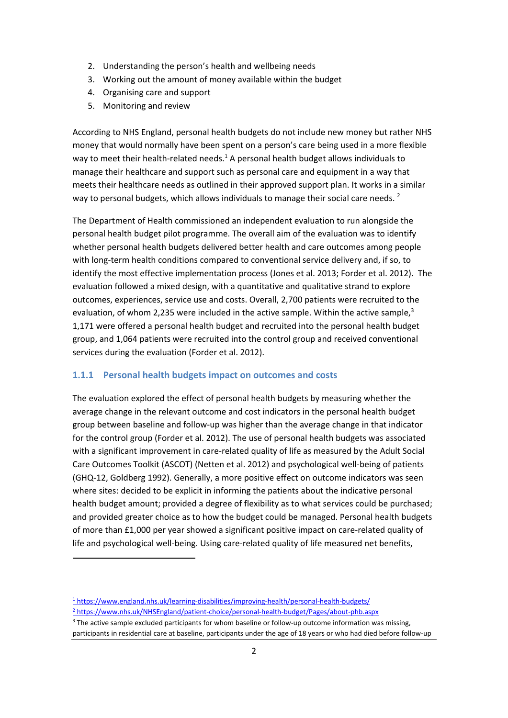- 2. Understanding the person's health and wellbeing needs
- 3. Working out the amount of money available within the budget
- 4. Organising care and support
- 5. Monitoring and review

According to NHS England, personal health budgets do not include new money but rather NHS money that would normally have been spent on a person's care being used in a more flexible way to meet their health-related needs. $<sup>1</sup>$  A personal health budget allows individuals to</sup> manage their healthcare and support such as personal care and equipment in a way that meets their healthcare needs as outlined in their approved support plan. It works in a similar way to personal budgets, which allows individuals to manage their social care needs.  $2^2$ 

The Department of Health commissioned an independent evaluation to run alongside the personal health budget pilot programme. The overall aim of the evaluation was to identify whether personal health budgets delivered better health and care outcomes among people with long-term health conditions compared to conventional service delivery and, if so, to identify the most effective implementation process (Jones et al. 2013; Forder et al. 2012). The evaluation followed a mixed design, with a quantitative and qualitative strand to explore outcomes, experiences, service use and costs. Overall, 2,700 patients were recruited to the evaluation, of whom 2,235 were included in the active sample. Within the active sample, $3$ 1,171 were offered a personal health budget and recruited into the personal health budget group, and 1,064 patients were recruited into the control group and received conventional services during the evaluation (Forder et al. 2012).

#### **1.1.1 Personal health budgets impact on outcomes and costs**

The evaluation explored the effect of personal health budgets by measuring whether the average change in the relevant outcome and cost indicators in the personal health budget group between baseline and follow-up was higher than the average change in that indicator for the control group (Forder et al. 2012). The use of personal health budgets was associated with a significant improvement in care-related quality of life as measured by the Adult Social Care Outcomes Toolkit (ASCOT) (Netten et al. 2012) and psychological well-being of patients (GHQ-12, Goldberg 1992). Generally, a more positive effect on outcome indicators was seen where sites: decided to be explicit in informing the patients about the indicative personal health budget amount; provided a degree of flexibility as to what services could be purchased; and provided greater choice as to how the budget could be managed. Personal health budgets of more than £1,000 per year showed a significant positive impact on care-related quality of life and psychological well-being. Using care-related quality of life measured net benefits,

**.** 

<sup>1</sup> https://www.england.nhs.uk/learning-disabilities/improving-health/personal-health-budgets/

<sup>2</sup> https://www.nhs.uk/NHSEngland/patient-choice/personal-health-budget/Pages/about-phb.aspx

<sup>&</sup>lt;sup>3</sup> The active sample excluded participants for whom baseline or follow-up outcome information was missing, participants in residential care at baseline, participants under the age of 18 years or who had died before follow-up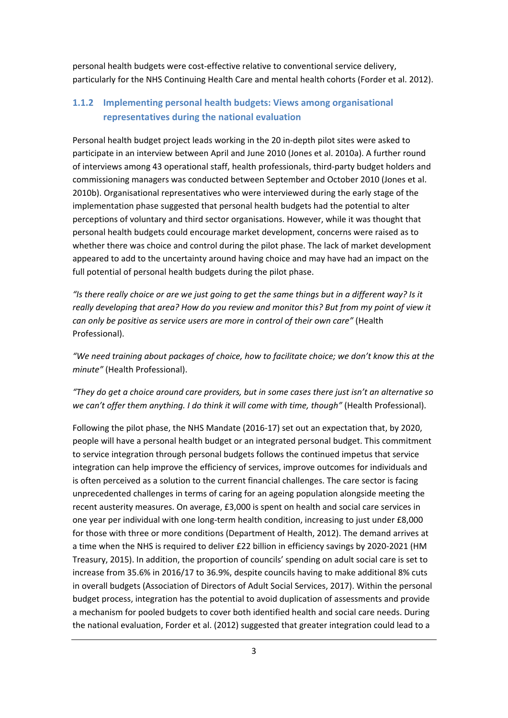personal health budgets were cost-effective relative to conventional service delivery, particularly for the NHS Continuing Health Care and mental health cohorts (Forder et al. 2012).

#### **1.1.2 Implementing personal health budgets: Views among organisational representatives during the national evaluation**

Personal health budget project leads working in the 20 in-depth pilot sites were asked to participate in an interview between April and June 2010 (Jones et al. 2010a). A further round of interviews among 43 operational staff, health professionals, third-party budget holders and commissioning managers was conducted between September and October 2010 (Jones et al. 2010b). Organisational representatives who were interviewed during the early stage of the implementation phase suggested that personal health budgets had the potential to alter perceptions of voluntary and third sector organisations. However, while it was thought that personal health budgets could encourage market development, concerns were raised as to whether there was choice and control during the pilot phase. The lack of market development appeared to add to the uncertainty around having choice and may have had an impact on the full potential of personal health budgets during the pilot phase.

*"Is there really choice or are we just going to get the same things but in a different way? Is it really developing that area? How do you review and monitor this? But from my point of view it can only be positive as service users are more in control of their own care"* (Health Professional).

*"We need training about packages of choice, how to facilitate choice; we don't know this at the minute"* (Health Professional).

*"They do get a choice around care providers, but in some cases there just isn't an alternative so we can't offer them anything. I do think it will come with time, though"* (Health Professional).

Following the pilot phase, the NHS Mandate (2016-17) set out an expectation that, by 2020, people will have a personal health budget or an integrated personal budget. This commitment to service integration through personal budgets follows the continued impetus that service integration can help improve the efficiency of services, improve outcomes for individuals and is often perceived as a solution to the current financial challenges. The care sector is facing unprecedented challenges in terms of caring for an ageing population alongside meeting the recent austerity measures. On average, £3,000 is spent on health and social care services in one year per individual with one long-term health condition, increasing to just under £8,000 for those with three or more conditions (Department of Health, 2012). The demand arrives at a time when the NHS is required to deliver £22 billion in efficiency savings by 2020-2021 (HM Treasury, 2015). In addition, the proportion of councils' spending on adult social care is set to increase from 35.6% in 2016/17 to 36.9%, despite councils having to make additional 8% cuts in overall budgets (Association of Directors of Adult Social Services, 2017). Within the personal budget process, integration has the potential to avoid duplication of assessments and provide a mechanism for pooled budgets to cover both identified health and social care needs. During the national evaluation, Forder et al. (2012) suggested that greater integration could lead to a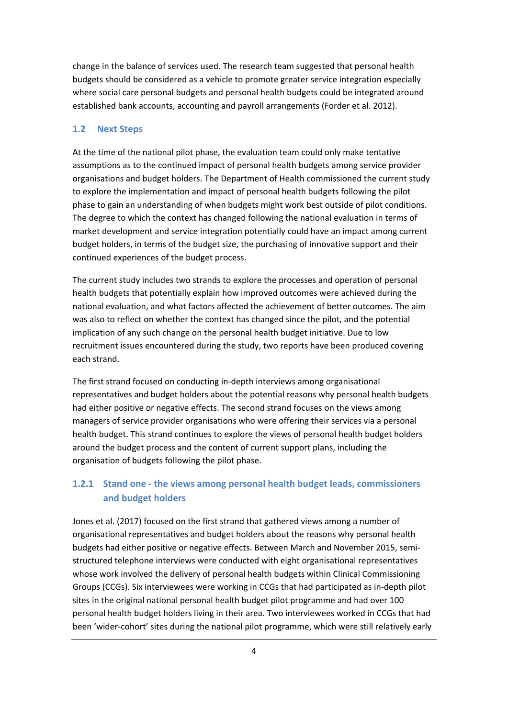change in the balance of services used. The research team suggested that personal health budgets should be considered as a vehicle to promote greater service integration especially where social care personal budgets and personal health budgets could be integrated around established bank accounts, accounting and payroll arrangements (Forder et al. 2012).

#### **1.2 Next Steps**

At the time of the national pilot phase, the evaluation team could only make tentative assumptions as to the continued impact of personal health budgets among service provider organisations and budget holders. The Department of Health commissioned the current study to explore the implementation and impact of personal health budgets following the pilot phase to gain an understanding of when budgets might work best outside of pilot conditions. The degree to which the context has changed following the national evaluation in terms of market development and service integration potentially could have an impact among current budget holders, in terms of the budget size, the purchasing of innovative support and their continued experiences of the budget process.

The current study includes two strands to explore the processes and operation of personal health budgets that potentially explain how improved outcomes were achieved during the national evaluation, and what factors affected the achievement of better outcomes. The aim was also to reflect on whether the context has changed since the pilot, and the potential implication of any such change on the personal health budget initiative. Due to low recruitment issues encountered during the study, two reports have been produced covering each strand.

The first strand focused on conducting in-depth interviews among organisational representatives and budget holders about the potential reasons why personal health budgets had either positive or negative effects. The second strand focuses on the views among managers of service provider organisations who were offering their services via a personal health budget. This strand continues to explore the views of personal health budget holders around the budget process and the content of current support plans, including the organisation of budgets following the pilot phase.

#### **1.2.1 Stand one - the views among personal health budget leads, commissioners and budget holders**

Jones et al. (2017) focused on the first strand that gathered views among a number of organisational representatives and budget holders about the reasons why personal health budgets had either positive or negative effects. Between March and November 2015, semistructured telephone interviews were conducted with eight organisational representatives whose work involved the delivery of personal health budgets within Clinical Commissioning Groups (CCGs). Six interviewees were working in CCGs that had participated as in-depth pilot sites in the original national personal health budget pilot programme and had over 100 personal health budget holders living in their area. Two interviewees worked in CCGs that had been 'wider-cohort' sites during the national pilot programme, which were still relatively early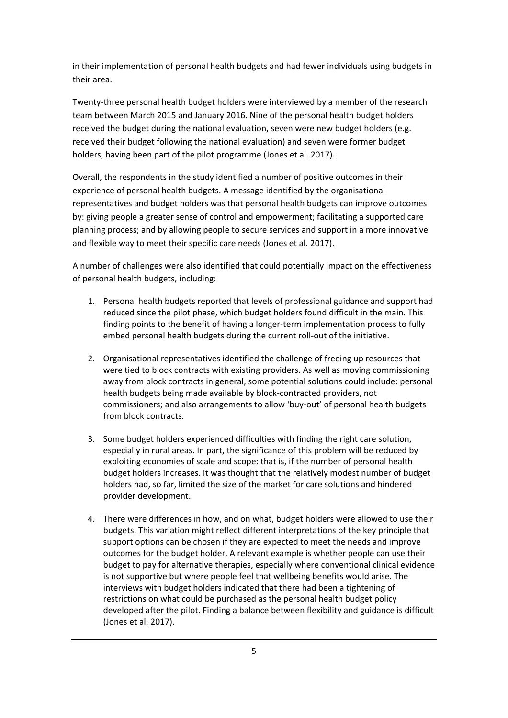in their implementation of personal health budgets and had fewer individuals using budgets in their area.

Twenty-three personal health budget holders were interviewed by a member of the research team between March 2015 and January 2016. Nine of the personal health budget holders received the budget during the national evaluation, seven were new budget holders (e.g. received their budget following the national evaluation) and seven were former budget holders, having been part of the pilot programme (Jones et al. 2017).

Overall, the respondents in the study identified a number of positive outcomes in their experience of personal health budgets. A message identified by the organisational representatives and budget holders was that personal health budgets can improve outcomes by: giving people a greater sense of control and empowerment; facilitating a supported care planning process; and by allowing people to secure services and support in a more innovative and flexible way to meet their specific care needs (Jones et al. 2017).

A number of challenges were also identified that could potentially impact on the effectiveness of personal health budgets, including:

- 1. Personal health budgets reported that levels of professional guidance and support had reduced since the pilot phase, which budget holders found difficult in the main. This finding points to the benefit of having a longer-term implementation process to fully embed personal health budgets during the current roll-out of the initiative.
- 2. Organisational representatives identified the challenge of freeing up resources that were tied to block contracts with existing providers. As well as moving commissioning away from block contracts in general, some potential solutions could include: personal health budgets being made available by block-contracted providers, not commissioners; and also arrangements to allow 'buy-out' of personal health budgets from block contracts.
- 3. Some budget holders experienced difficulties with finding the right care solution, especially in rural areas. In part, the significance of this problem will be reduced by exploiting economies of scale and scope: that is, if the number of personal health budget holders increases. It was thought that the relatively modest number of budget holders had, so far, limited the size of the market for care solutions and hindered provider development.
- 4. There were differences in how, and on what, budget holders were allowed to use their budgets. This variation might reflect different interpretations of the key principle that support options can be chosen if they are expected to meet the needs and improve outcomes for the budget holder. A relevant example is whether people can use their budget to pay for alternative therapies, especially where conventional clinical evidence is not supportive but where people feel that wellbeing benefits would arise. The interviews with budget holders indicated that there had been a tightening of restrictions on what could be purchased as the personal health budget policy developed after the pilot. Finding a balance between flexibility and guidance is difficult (Jones et al. 2017).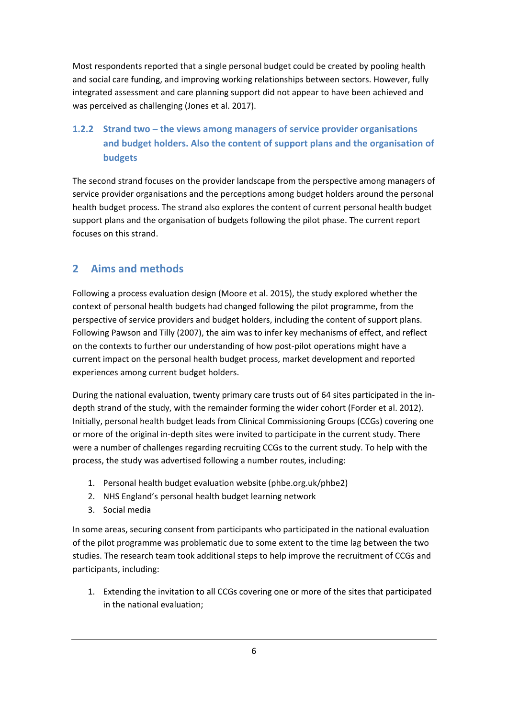Most respondents reported that a single personal budget could be created by pooling health and social care funding, and improving working relationships between sectors. However, fully integrated assessment and care planning support did not appear to have been achieved and was perceived as challenging (Jones et al. 2017).

#### **1.2.2 Strand two – the views among managers of service provider organisations and budget holders. Also the content of support plans and the organisation of budgets**

The second strand focuses on the provider landscape from the perspective among managers of service provider organisations and the perceptions among budget holders around the personal health budget process. The strand also explores the content of current personal health budget support plans and the organisation of budgets following the pilot phase. The current report focuses on this strand.

#### **2 Aims and methods**

Following a process evaluation design (Moore et al. 2015), the study explored whether the context of personal health budgets had changed following the pilot programme, from the perspective of service providers and budget holders, including the content of support plans. Following Pawson and Tilly (2007), the aim was to infer key mechanisms of effect, and reflect on the contexts to further our understanding of how post-pilot operations might have a current impact on the personal health budget process, market development and reported experiences among current budget holders.

During the national evaluation, twenty primary care trusts out of 64 sites participated in the indepth strand of the study, with the remainder forming the wider cohort (Forder et al. 2012). Initially, personal health budget leads from Clinical Commissioning Groups (CCGs) covering one or more of the original in-depth sites were invited to participate in the current study. There were a number of challenges regarding recruiting CCGs to the current study. To help with the process, the study was advertised following a number routes, including:

- 1. Personal health budget evaluation website (phbe.org.uk/phbe2)
- 2. NHS England's personal health budget learning network
- 3. Social media

In some areas, securing consent from participants who participated in the national evaluation of the pilot programme was problematic due to some extent to the time lag between the two studies. The research team took additional steps to help improve the recruitment of CCGs and participants, including:

1. Extending the invitation to all CCGs covering one or more of the sites that participated in the national evaluation;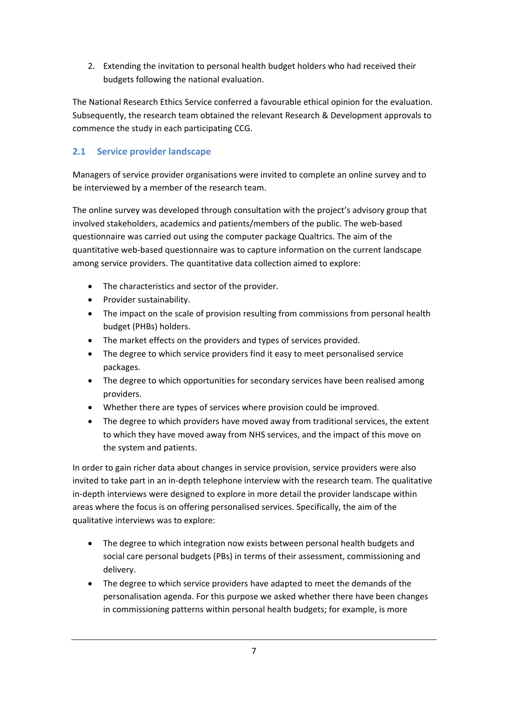2. Extending the invitation to personal health budget holders who had received their budgets following the national evaluation.

The National Research Ethics Service conferred a favourable ethical opinion for the evaluation. Subsequently, the research team obtained the relevant Research & Development approvals to commence the study in each participating CCG.

#### **2.1 Service provider landscape**

Managers of service provider organisations were invited to complete an online survey and to be interviewed by a member of the research team.

The online survey was developed through consultation with the project's advisory group that involved stakeholders, academics and patients/members of the public. The web-based questionnaire was carried out using the computer package Qualtrics. The aim of the quantitative web-based questionnaire was to capture information on the current landscape among service providers. The quantitative data collection aimed to explore:

- The characteristics and sector of the provider.
- Provider sustainability.
- The impact on the scale of provision resulting from commissions from personal health budget (PHBs) holders.
- The market effects on the providers and types of services provided.
- The degree to which service providers find it easy to meet personalised service packages.
- The degree to which opportunities for secondary services have been realised among providers.
- Whether there are types of services where provision could be improved.
- The degree to which providers have moved away from traditional services, the extent to which they have moved away from NHS services, and the impact of this move on the system and patients.

In order to gain richer data about changes in service provision, service providers were also invited to take part in an in-depth telephone interview with the research team. The qualitative in-depth interviews were designed to explore in more detail the provider landscape within areas where the focus is on offering personalised services. Specifically, the aim of the qualitative interviews was to explore:

- The degree to which integration now exists between personal health budgets and social care personal budgets (PBs) in terms of their assessment, commissioning and delivery.
- The degree to which service providers have adapted to meet the demands of the personalisation agenda. For this purpose we asked whether there have been changes in commissioning patterns within personal health budgets; for example, is more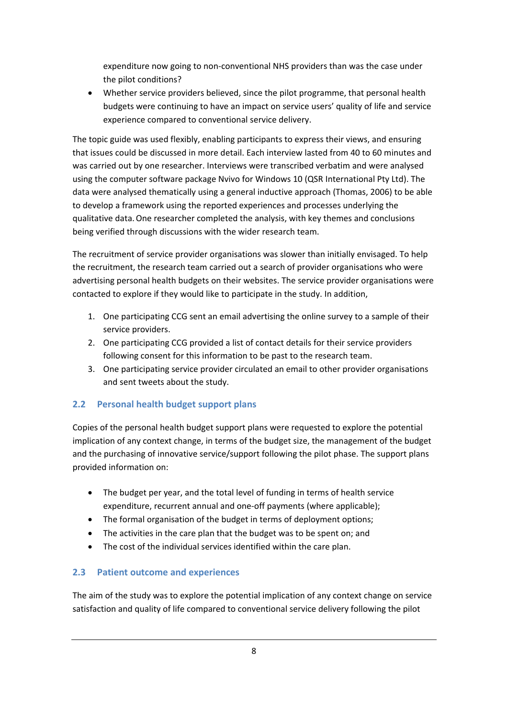expenditure now going to non-conventional NHS providers than was the case under the pilot conditions?

 Whether service providers believed, since the pilot programme, that personal health budgets were continuing to have an impact on service users' quality of life and service experience compared to conventional service delivery.

The topic guide was used flexibly, enabling participants to express their views, and ensuring that issues could be discussed in more detail. Each interview lasted from 40 to 60 minutes and was carried out by one researcher. Interviews were transcribed verbatim and were analysed using the computer software package Nvivo for Windows 10 (QSR International Pty Ltd). The data were analysed thematically using a general inductive approach (Thomas, 2006) to be able to develop a framework using the reported experiences and processes underlying the qualitative data.One researcher completed the analysis, with key themes and conclusions being verified through discussions with the wider research team.

The recruitment of service provider organisations was slower than initially envisaged. To help the recruitment, the research team carried out a search of provider organisations who were advertising personal health budgets on their websites. The service provider organisations were contacted to explore if they would like to participate in the study. In addition,

- 1. One participating CCG sent an email advertising the online survey to a sample of their service providers.
- 2. One participating CCG provided a list of contact details for their service providers following consent for this information to be past to the research team.
- 3. One participating service provider circulated an email to other provider organisations and sent tweets about the study.

#### **2.2 Personal health budget support plans**

Copies of the personal health budget support plans were requested to explore the potential implication of any context change, in terms of the budget size, the management of the budget and the purchasing of innovative service/support following the pilot phase. The support plans provided information on:

- The budget per year, and the total level of funding in terms of health service expenditure, recurrent annual and one-off payments (where applicable);
- The formal organisation of the budget in terms of deployment options;
- The activities in the care plan that the budget was to be spent on; and
- The cost of the individual services identified within the care plan.

#### **2.3 Patient outcome and experiences**

The aim of the study was to explore the potential implication of any context change on service satisfaction and quality of life compared to conventional service delivery following the pilot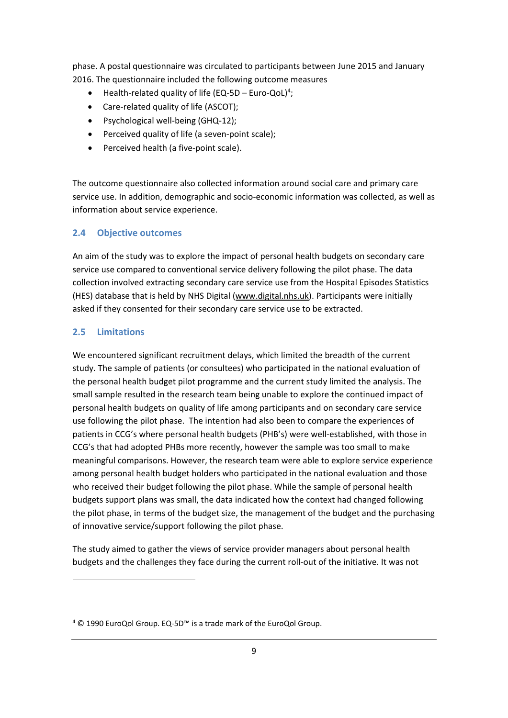phase. A postal questionnaire was circulated to participants between June 2015 and January 2016. The questionnaire included the following outcome measures

- $\bullet$  Health-related quality of life (EQ-5D Euro-QoL)<sup>4</sup>;
- Care-related quality of life (ASCOT);
- Psychological well-being (GHQ-12);
- Perceived quality of life (a seven-point scale);
- Perceived health (a five-point scale).

The outcome questionnaire also collected information around social care and primary care service use. In addition, demographic and socio-economic information was collected, as well as information about service experience.

#### **2.4 Objective outcomes**

An aim of the study was to explore the impact of personal health budgets on secondary care service use compared to conventional service delivery following the pilot phase. The data collection involved extracting secondary care service use from the Hospital Episodes Statistics (HES) database that is held by NHS Digital (www.digital.nhs.uk). Participants were initially asked if they consented for their secondary care service use to be extracted.

#### **2.5 Limitations**

**.** 

We encountered significant recruitment delays, which limited the breadth of the current study. The sample of patients (or consultees) who participated in the national evaluation of the personal health budget pilot programme and the current study limited the analysis. The small sample resulted in the research team being unable to explore the continued impact of personal health budgets on quality of life among participants and on secondary care service use following the pilot phase. The intention had also been to compare the experiences of patients in CCG's where personal health budgets (PHB's) were well-established, with those in CCG's that had adopted PHBs more recently, however the sample was too small to make meaningful comparisons. However, the research team were able to explore service experience among personal health budget holders who participated in the national evaluation and those who received their budget following the pilot phase. While the sample of personal health budgets support plans was small, the data indicated how the context had changed following the pilot phase, in terms of the budget size, the management of the budget and the purchasing of innovative service/support following the pilot phase.

The study aimed to gather the views of service provider managers about personal health budgets and the challenges they face during the current roll-out of the initiative. It was not

<sup>4</sup> © 1990 EuroQol Group. EQ-5D™ is a trade mark of the EuroQol Group.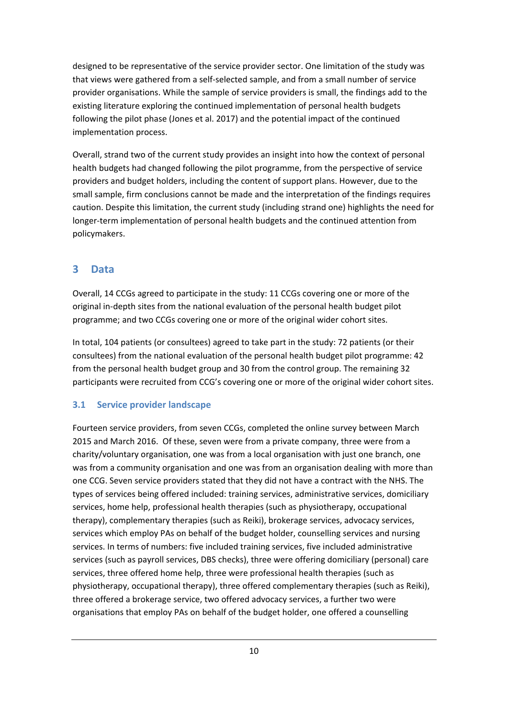designed to be representative of the service provider sector. One limitation of the study was that views were gathered from a self-selected sample, and from a small number of service provider organisations. While the sample of service providers is small, the findings add to the existing literature exploring the continued implementation of personal health budgets following the pilot phase (Jones et al. 2017) and the potential impact of the continued implementation process.

Overall, strand two of the current study provides an insight into how the context of personal health budgets had changed following the pilot programme, from the perspective of service providers and budget holders, including the content of support plans. However, due to the small sample, firm conclusions cannot be made and the interpretation of the findings requires caution. Despite this limitation, the current study (including strand one) highlights the need for longer-term implementation of personal health budgets and the continued attention from policymakers.

#### **3 Data**

Overall, 14 CCGs agreed to participate in the study: 11 CCGs covering one or more of the original in-depth sites from the national evaluation of the personal health budget pilot programme; and two CCGs covering one or more of the original wider cohort sites.

In total, 104 patients (or consultees) agreed to take part in the study: 72 patients (or their consultees) from the national evaluation of the personal health budget pilot programme: 42 from the personal health budget group and 30 from the control group. The remaining 32 participants were recruited from CCG's covering one or more of the original wider cohort sites.

#### **3.1 Service provider landscape**

Fourteen service providers, from seven CCGs, completed the online survey between March 2015 and March 2016. Of these, seven were from a private company, three were from a charity/voluntary organisation, one was from a local organisation with just one branch, one was from a community organisation and one was from an organisation dealing with more than one CCG. Seven service providers stated that they did not have a contract with the NHS. The types of services being offered included: training services, administrative services, domiciliary services, home help, professional health therapies (such as physiotherapy, occupational therapy), complementary therapies (such as Reiki), brokerage services, advocacy services, services which employ PAs on behalf of the budget holder, counselling services and nursing services. In terms of numbers: five included training services, five included administrative services (such as payroll services, DBS checks), three were offering domiciliary (personal) care services, three offered home help, three were professional health therapies (such as physiotherapy, occupational therapy), three offered complementary therapies (such as Reiki), three offered a brokerage service, two offered advocacy services, a further two were organisations that employ PAs on behalf of the budget holder, one offered a counselling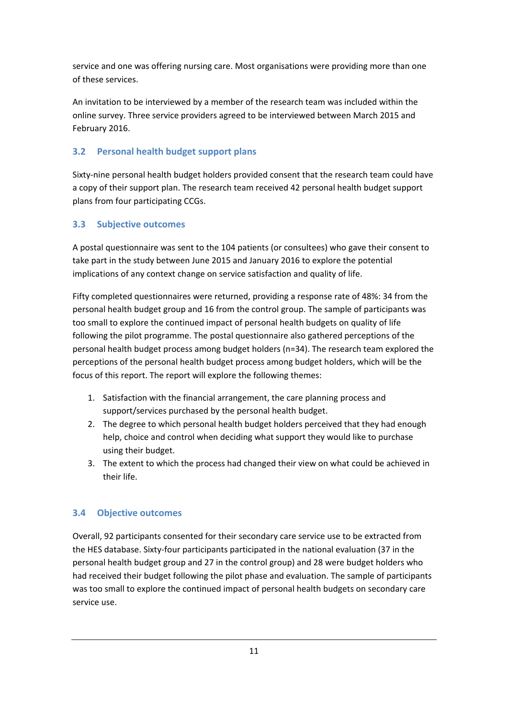service and one was offering nursing care. Most organisations were providing more than one of these services.

An invitation to be interviewed by a member of the research team was included within the online survey. Three service providers agreed to be interviewed between March 2015 and February 2016.

#### **3.2 Personal health budget support plans**

Sixty-nine personal health budget holders provided consent that the research team could have a copy of their support plan. The research team received 42 personal health budget support plans from four participating CCGs.

#### **3.3 Subjective outcomes**

A postal questionnaire was sent to the 104 patients (or consultees) who gave their consent to take part in the study between June 2015 and January 2016 to explore the potential implications of any context change on service satisfaction and quality of life.

Fifty completed questionnaires were returned, providing a response rate of 48%: 34 from the personal health budget group and 16 from the control group. The sample of participants was too small to explore the continued impact of personal health budgets on quality of life following the pilot programme. The postal questionnaire also gathered perceptions of the personal health budget process among budget holders (n=34). The research team explored the perceptions of the personal health budget process among budget holders, which will be the focus of this report. The report will explore the following themes:

- 1. Satisfaction with the financial arrangement, the care planning process and support/services purchased by the personal health budget.
- 2. The degree to which personal health budget holders perceived that they had enough help, choice and control when deciding what support they would like to purchase using their budget.
- 3. The extent to which the process had changed their view on what could be achieved in their life.

#### **3.4 Objective outcomes**

Overall, 92 participants consented for their secondary care service use to be extracted from the HES database. Sixty-four participants participated in the national evaluation (37 in the personal health budget group and 27 in the control group) and 28 were budget holders who had received their budget following the pilot phase and evaluation. The sample of participants was too small to explore the continued impact of personal health budgets on secondary care service use.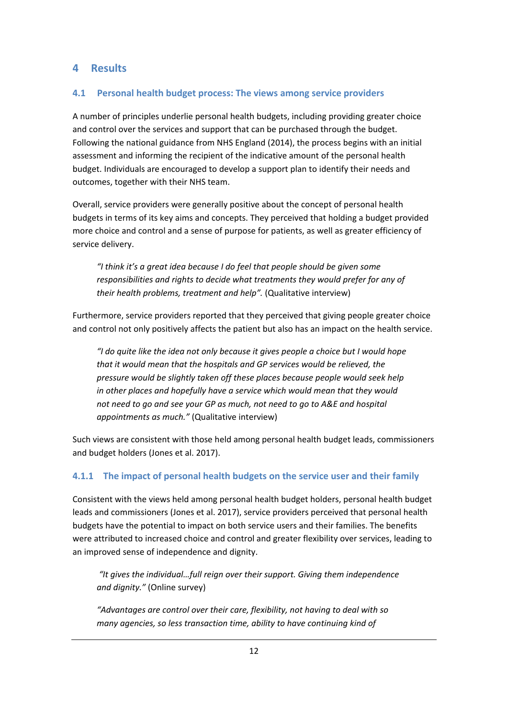#### **4 Results**

#### **4.1 Personal health budget process: The views among service providers**

A number of principles underlie personal health budgets, including providing greater choice and control over the services and support that can be purchased through the budget. Following the national guidance from NHS England (2014), the process begins with an initial assessment and informing the recipient of the indicative amount of the personal health budget. Individuals are encouraged to develop a support plan to identify their needs and outcomes, together with their NHS team.

Overall, service providers were generally positive about the concept of personal health budgets in terms of its key aims and concepts. They perceived that holding a budget provided more choice and control and a sense of purpose for patients, as well as greater efficiency of service delivery.

*"I think it's a great idea because I do feel that people should be given some responsibilities and rights to decide what treatments they would prefer for any of their health problems, treatment and help".* (Qualitative interview)

Furthermore, service providers reported that they perceived that giving people greater choice and control not only positively affects the patient but also has an impact on the health service.

*"I do quite like the idea not only because it gives people a choice but I would hope that it would mean that the hospitals and GP services would be relieved, the pressure would be slightly taken off these places because people would seek help in other places and hopefully have a service which would mean that they would not need to go and see your GP as much, not need to go to A&E and hospital appointments as much."* (Qualitative interview)

Such views are consistent with those held among personal health budget leads, commissioners and budget holders (Jones et al. 2017).

#### **4.1.1 The impact of personal health budgets on the service user and their family**

Consistent with the views held among personal health budget holders, personal health budget leads and commissioners (Jones et al. 2017), service providers perceived that personal health budgets have the potential to impact on both service users and their families. The benefits were attributed to increased choice and control and greater flexibility over services, leading to an improved sense of independence and dignity.

 *"It gives the individual…full reign over their support. Giving them independence and dignity."* (Online survey)

*"Advantages are control over their care, flexibility, not having to deal with so many agencies, so less transaction time, ability to have continuing kind of*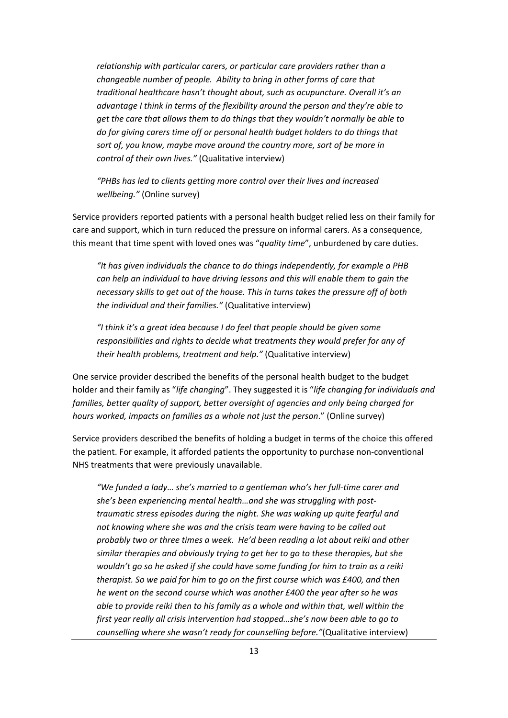*relationship with particular carers, or particular care providers rather than a changeable number of people. Ability to bring in other forms of care that traditional healthcare hasn't thought about, such as acupuncture. Overall it's an advantage I think in terms of the flexibility around the person and they're able to get the care that allows them to do things that they wouldn't normally be able to do for giving carers time off or personal health budget holders to do things that sort of, you know, maybe move around the country more, sort of be more in control of their own lives."* (Qualitative interview)

*"PHBs has led to clients getting more control over their lives and increased wellbeing."* (Online survey)

Service providers reported patients with a personal health budget relied less on their family for care and support, which in turn reduced the pressure on informal carers. As a consequence, this meant that time spent with loved ones was "*quality time*", unburdened by care duties.

*"It has given individuals the chance to do things independently, for example a PHB can help an individual to have driving lessons and this will enable them to gain the necessary skills to get out of the house. This in turns takes the pressure off of both the individual and their families."* (Qualitative interview)

*"I think it's a great idea because I do feel that people should be given some responsibilities and rights to decide what treatments they would prefer for any of their health problems, treatment and help."* (Qualitative interview)

One service provider described the benefits of the personal health budget to the budget holder and their family as "*life changing*". They suggested it is "*life changing for individuals and families, better quality of support, better oversight of agencies and only being charged for hours worked, impacts on families as a whole not just the person*." (Online survey)

Service providers described the benefits of holding a budget in terms of the choice this offered the patient. For example, it afforded patients the opportunity to purchase non-conventional NHS treatments that were previously unavailable.

*"We funded a lady… she's married to a gentleman who's her full-time carer and she's been experiencing mental health…and she was struggling with posttraumatic stress episodes during the night. She was waking up quite fearful and not knowing where she was and the crisis team were having to be called out probably two or three times a week. He'd been reading a lot about reiki and other similar therapies and obviously trying to get her to go to these therapies, but she wouldn't go so he asked if she could have some funding for him to train as a reiki therapist. So we paid for him to go on the first course which was £400, and then he went on the second course which was another £400 the year after so he was able to provide reiki then to his family as a whole and within that, well within the first year really all crisis intervention had stopped…she's now been able to go to counselling where she wasn't ready for counselling before."*(Qualitative interview)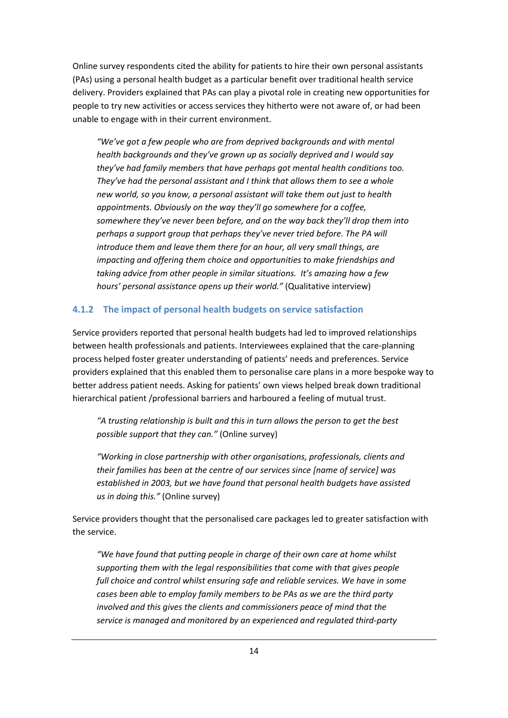Online survey respondents cited the ability for patients to hire their own personal assistants (PAs) using a personal health budget as a particular benefit over traditional health service delivery. Providers explained that PAs can play a pivotal role in creating new opportunities for people to try new activities or access services they hitherto were not aware of, or had been unable to engage with in their current environment.

*"We've got a few people who are from deprived backgrounds and with mental health backgrounds and they've grown up as socially deprived and I would say they've had family members that have perhaps got mental health conditions too. They've had the personal assistant and I think that allows them to see a whole new world, so you know, a personal assistant will take them out just to health appointments. Obviously on the way they'll go somewhere for a coffee, somewhere they've never been before, and on the way back they'll drop them into perhaps a support group that perhaps they've never tried before. The PA will introduce them and leave them there for an hour, all very small things, are impacting and offering them choice and opportunities to make friendships and taking advice from other people in similar situations. It's amazing how a few hours' personal assistance opens up their world."* (Qualitative interview)

#### **4.1.2 The impact of personal health budgets on service satisfaction**

Service providers reported that personal health budgets had led to improved relationships between health professionals and patients. Interviewees explained that the care-planning process helped foster greater understanding of patients' needs and preferences. Service providers explained that this enabled them to personalise care plans in a more bespoke way to better address patient needs. Asking for patients' own views helped break down traditional hierarchical patient /professional barriers and harboured a feeling of mutual trust.

*"A trusting relationship is built and this in turn allows the person to get the best possible support that they can."* (Online survey)

*"Working in close partnership with other organisations, professionals, clients and their families has been at the centre of our services since [name of service] was established in 2003, but we have found that personal health budgets have assisted us in doing this."* (Online survey)

Service providers thought that the personalised care packages led to greater satisfaction with the service.

*"We have found that putting people in charge of their own care at home whilst supporting them with the legal responsibilities that come with that gives people full choice and control whilst ensuring safe and reliable services. We have in some cases been able to employ family members to be PAs as we are the third party involved and this gives the clients and commissioners peace of mind that the service is managed and monitored by an experienced and regulated third-party*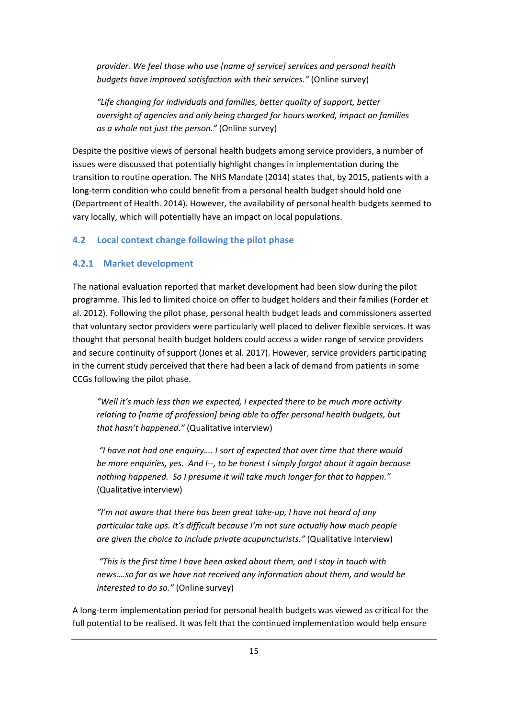*provider. We feel those who use [name of service] services and personal health budgets have improved satisfaction with their services."* (Online survey)

*"Life changing for individuals and families, better quality of support, better oversight of agencies and only being charged for hours worked, impact on families as a whole not just the person."* (Online survey)

Despite the positive views of personal health budgets among service providers, a number of issues were discussed that potentially highlight changes in implementation during the transition to routine operation. The NHS Mandate (2014) states that, by 2015, patients with a long-term condition who could benefit from a personal health budget should hold one (Department of Health. 2014). However, the availability of personal health budgets seemed to vary locally, which will potentially have an impact on local populations.

#### **4.2 Local context change following the pilot phase**

#### **4.2.1 Market development**

The national evaluation reported that market development had been slow during the pilot programme. This led to limited choice on offer to budget holders and their families (Forder et al. 2012). Following the pilot phase, personal health budget leads and commissioners asserted that voluntary sector providers were particularly well placed to deliver flexible services. It was thought that personal health budget holders could access a wider range of service providers and secure continuity of support (Jones et al. 2017). However, service providers participating in the current study perceived that there had been a lack of demand from patients in some CCGs following the pilot phase.

*"Well it's much less than we expected, I expected there to be much more activity relating to [name of profession] being able to offer personal health budgets, but that hasn't happened."* (Qualitative interview)

 *"I have not had one enquiry…. I sort of expected that over time that there would be more enquiries, yes. And I--, to be honest I simply forgot about it again because nothing happened. So I presume it will take much longer for that to happen."*  (Qualitative interview)

*"I'm not aware that there has been great take-up, I have not heard of any particular take ups. It's difficult because I'm not sure actually how much people are given the choice to include private acupuncturists."* (Qualitative interview)

 *"This is the first time I have been asked about them, and I stay in touch with news….so far as we have not received any information about them, and would be interested to do so."* (Online survey)

A long-term implementation period for personal health budgets was viewed as critical for the full potential to be realised. It was felt that the continued implementation would help ensure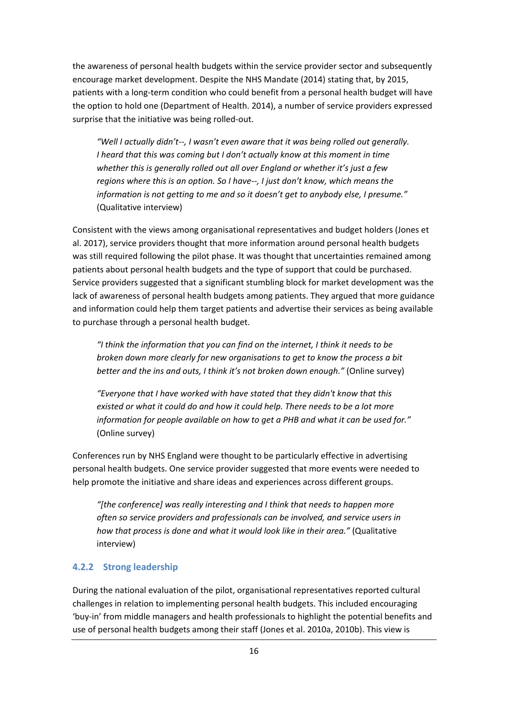the awareness of personal health budgets within the service provider sector and subsequently encourage market development. Despite the NHS Mandate (2014) stating that, by 2015, patients with a long-term condition who could benefit from a personal health budget will have the option to hold one (Department of Health. 2014), a number of service providers expressed surprise that the initiative was being rolled-out.

*"Well I actually didn't--, I wasn't even aware that it was being rolled out generally. I heard that this was coming but I don't actually know at this moment in time whether this is generally rolled out all over England or whether it's just a few regions where this is an option. So I have--, I just don't know, which means the information is not getting to me and so it doesn't get to anybody else, I presume."*  (Qualitative interview)

Consistent with the views among organisational representatives and budget holders (Jones et al. 2017), service providers thought that more information around personal health budgets was still required following the pilot phase. It was thought that uncertainties remained among patients about personal health budgets and the type of support that could be purchased. Service providers suggested that a significant stumbling block for market development was the lack of awareness of personal health budgets among patients. They argued that more guidance and information could help them target patients and advertise their services as being available to purchase through a personal health budget.

*"I think the information that you can find on the internet, I think it needs to be broken down more clearly for new organisations to get to know the process a bit better and the ins and outs, I think it's not broken down enough."* (Online survey)

*"Everyone that I have worked with have stated that they didn't know that this existed or what it could do and how it could help. There needs to be a lot more information for people available on how to get a PHB and what it can be used for."*  (Online survey)

Conferences run by NHS England were thought to be particularly effective in advertising personal health budgets. One service provider suggested that more events were needed to help promote the initiative and share ideas and experiences across different groups.

*"[the conference] was really interesting and I think that needs to happen more often so service providers and professionals can be involved, and service users in how that process is done and what it would look like in their area."* (Qualitative interview)

#### **4.2.2 Strong leadership**

During the national evaluation of the pilot, organisational representatives reported cultural challenges in relation to implementing personal health budgets. This included encouraging 'buy-in' from middle managers and health professionals to highlight the potential benefits and use of personal health budgets among their staff (Jones et al. 2010a, 2010b). This view is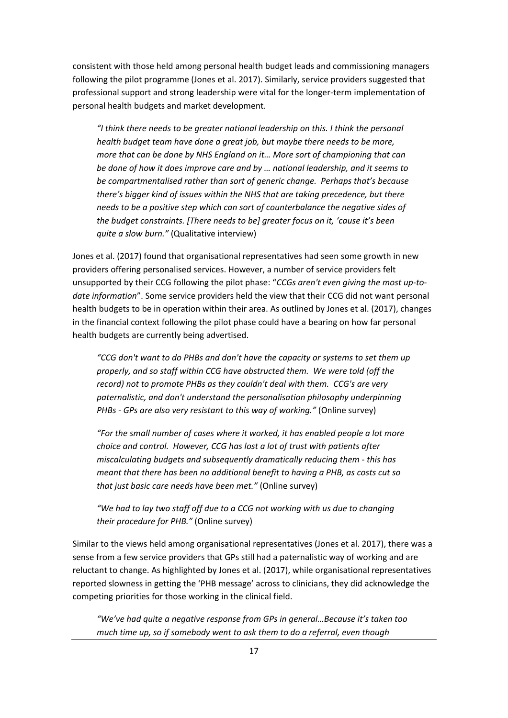consistent with those held among personal health budget leads and commissioning managers following the pilot programme (Jones et al. 2017). Similarly, service providers suggested that professional support and strong leadership were vital for the longer-term implementation of personal health budgets and market development.

*"I think there needs to be greater national leadership on this. I think the personal health budget team have done a great job, but maybe there needs to be more, more that can be done by NHS England on it… More sort of championing that can be done of how it does improve care and by … national leadership, and it seems to be compartmentalised rather than sort of generic change. Perhaps that's because there's bigger kind of issues within the NHS that are taking precedence, but there needs to be a positive step which can sort of counterbalance the negative sides of the budget constraints. [There needs to be] greater focus on it, 'cause it's been quite a slow burn."* (Qualitative interview)

Jones et al. (2017) found that organisational representatives had seen some growth in new providers offering personalised services. However, a number of service providers felt unsupported by their CCG following the pilot phase: "*CCGs aren't even giving the most up-todate information*". Some service providers held the view that their CCG did not want personal health budgets to be in operation within their area. As outlined by Jones et al. (2017), changes in the financial context following the pilot phase could have a bearing on how far personal health budgets are currently being advertised.

*"CCG don't want to do PHBs and don't have the capacity or systems to set them up properly, and so staff within CCG have obstructed them. We were told (off the record) not to promote PHBs as they couldn't deal with them. CCG's are very paternalistic, and don't understand the personalisation philosophy underpinning PHBs - GPs are also very resistant to this way of working."* (Online survey)

*"For the small number of cases where it worked, it has enabled people a lot more choice and control. However, CCG has lost a lot of trust with patients after miscalculating budgets and subsequently dramatically reducing them - this has meant that there has been no additional benefit to having a PHB, as costs cut so that just basic care needs have been met."* (Online survey)

*"We had to lay two staff off due to a CCG not working with us due to changing their procedure for PHB."* (Online survey)

Similar to the views held among organisational representatives (Jones et al. 2017), there was a sense from a few service providers that GPs still had a paternalistic way of working and are reluctant to change. As highlighted by Jones et al. (2017), while organisational representatives reported slowness in getting the 'PHB message' across to clinicians, they did acknowledge the competing priorities for those working in the clinical field.

*"We've had quite a negative response from GPs in general…Because it's taken too much time up, so if somebody went to ask them to do a referral, even though*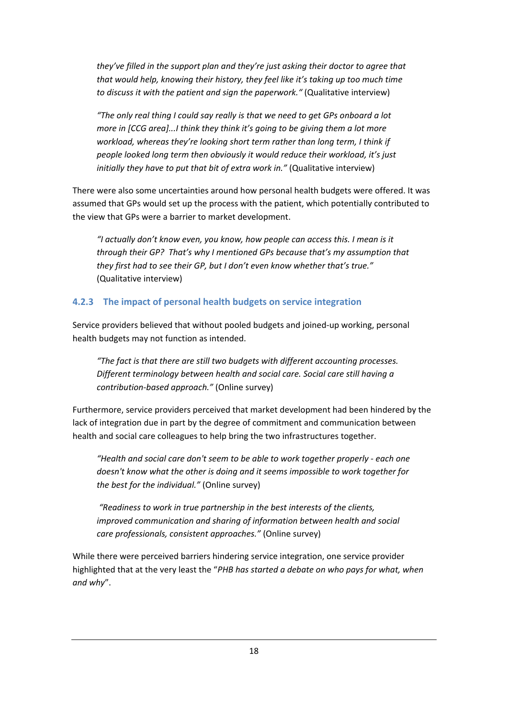*they've filled in the support plan and they're just asking their doctor to agree that that would help, knowing their history, they feel like it's taking up too much time to discuss it with the patient and sign the paperwork."* (Qualitative interview)

*"The only real thing I could say really is that we need to get GPs onboard a lot more in [CCG area]...I think they think it's going to be giving them a lot more workload, whereas they're looking short term rather than long term, I think if people looked long term then obviously it would reduce their workload, it's just initially they have to put that bit of extra work in."* (Qualitative interview)

There were also some uncertainties around how personal health budgets were offered. It was assumed that GPs would set up the process with the patient, which potentially contributed to the view that GPs were a barrier to market development.

*"I actually don't know even, you know, how people can access this. I mean is it through their GP? That's why I mentioned GPs because that's my assumption that they first had to see their GP, but I don't even know whether that's true."*  (Qualitative interview)

#### **4.2.3 The impact of personal health budgets on service integration**

Service providers believed that without pooled budgets and joined-up working, personal health budgets may not function as intended.

*"The fact is that there are still two budgets with different accounting processes. Different terminology between health and social care. Social care still having a contribution-based approach."* (Online survey)

Furthermore, service providers perceived that market development had been hindered by the lack of integration due in part by the degree of commitment and communication between health and social care colleagues to help bring the two infrastructures together.

*"Health and social care don't seem to be able to work together properly - each one doesn't know what the other is doing and it seems impossible to work together for the best for the individual."* (Online survey)

*"Readiness to work in true partnership in the best interests of the clients, improved communication and sharing of information between health and social care professionals, consistent approaches."* (Online survey)

While there were perceived barriers hindering service integration, one service provider highlighted that at the very least the "*PHB has started a debate on who pays for what, when and why*".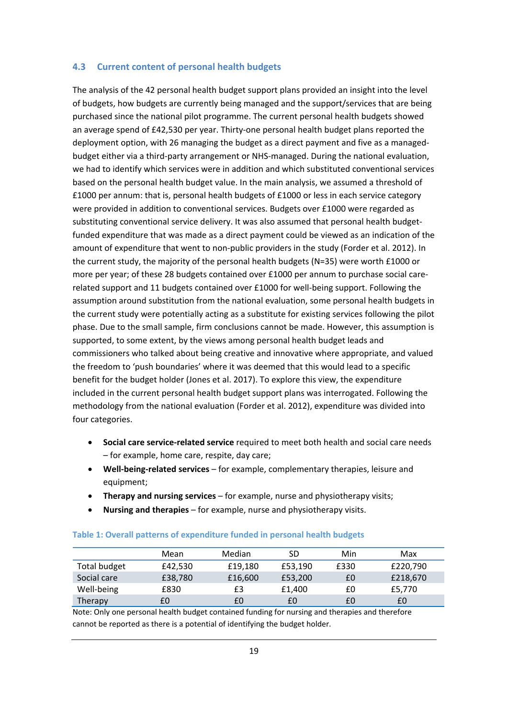#### **4.3 Current content of personal health budgets**

The analysis of the 42 personal health budget support plans provided an insight into the level of budgets, how budgets are currently being managed and the support/services that are being purchased since the national pilot programme. The current personal health budgets showed an average spend of £42,530 per year. Thirty-one personal health budget plans reported the deployment option, with 26 managing the budget as a direct payment and five as a managedbudget either via a third-party arrangement or NHS-managed. During the national evaluation, we had to identify which services were in addition and which substituted conventional services based on the personal health budget value. In the main analysis, we assumed a threshold of £1000 per annum: that is, personal health budgets of £1000 or less in each service category were provided in addition to conventional services. Budgets over £1000 were regarded as substituting conventional service delivery. It was also assumed that personal health budgetfunded expenditure that was made as a direct payment could be viewed as an indication of the amount of expenditure that went to non-public providers in the study (Forder et al. 2012). In the current study, the majority of the personal health budgets (N=35) were worth £1000 or more per year; of these 28 budgets contained over £1000 per annum to purchase social carerelated support and 11 budgets contained over £1000 for well-being support. Following the assumption around substitution from the national evaluation, some personal health budgets in the current study were potentially acting as a substitute for existing services following the pilot phase. Due to the small sample, firm conclusions cannot be made. However, this assumption is supported, to some extent, by the views among personal health budget leads and commissioners who talked about being creative and innovative where appropriate, and valued the freedom to 'push boundaries' where it was deemed that this would lead to a specific benefit for the budget holder (Jones et al. 2017). To explore this view, the expenditure included in the current personal health budget support plans was interrogated. Following the methodology from the national evaluation (Forder et al. 2012), expenditure was divided into four categories.

- **Social care service-related service** required to meet both health and social care needs – for example, home care, respite, day care;
- **Well-being-related services** for example, complementary therapies, leisure and equipment;
- **Therapy and nursing services** for example, nurse and physiotherapy visits;
- **Nursing and therapies**  for example, nurse and physiotherapy visits.

|                     | Mean    | Median  | SD      | Min  | Max      |
|---------------------|---------|---------|---------|------|----------|
| <b>Total budget</b> | £42,530 | £19.180 | £53.190 | £330 | £220,790 |
| Social care         | £38,780 | £16,600 | £53,200 | £0   | £218,670 |
| Well-being          | £830    | £3      | £1.400  | £0   | £5,770   |
| Therapy             | £0      | £0      | £0      | £0   | £0       |

#### **Table 1: Overall patterns of expenditure funded in personal health budgets**

Note: Only one personal health budget contained funding for nursing and therapies and therefore cannot be reported as there is a potential of identifying the budget holder.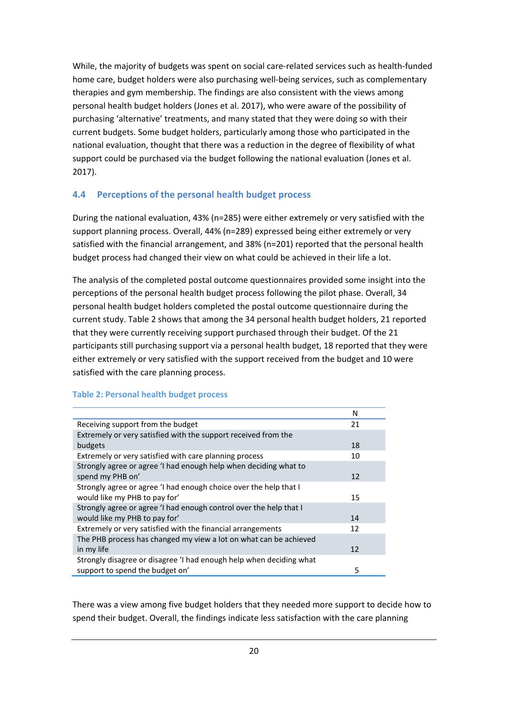While, the majority of budgets was spent on social care-related services such as health-funded home care, budget holders were also purchasing well-being services, such as complementary therapies and gym membership. The findings are also consistent with the views among personal health budget holders (Jones et al. 2017), who were aware of the possibility of purchasing 'alternative' treatments, and many stated that they were doing so with their current budgets. Some budget holders, particularly among those who participated in the national evaluation, thought that there was a reduction in the degree of flexibility of what support could be purchased via the budget following the national evaluation (Jones et al. 2017).

#### **4.4 Perceptions of the personal health budget process**

During the national evaluation, 43% (n=285) were either extremely or very satisfied with the support planning process. Overall, 44% (n=289) expressed being either extremely or very satisfied with the financial arrangement, and 38% (n=201) reported that the personal health budget process had changed their view on what could be achieved in their life a lot.

The analysis of the completed postal outcome questionnaires provided some insight into the perceptions of the personal health budget process following the pilot phase. Overall, 34 personal health budget holders completed the postal outcome questionnaire during the current study. Table 2 shows that among the 34 personal health budget holders, 21 reported that they were currently receiving support purchased through their budget. Of the 21 participants still purchasing support via a personal health budget, 18 reported that they were either extremely or very satisfied with the support received from the budget and 10 were satisfied with the care planning process.

|                                                                     | N  |
|---------------------------------------------------------------------|----|
| Receiving support from the budget                                   | 21 |
| Extremely or very satisfied with the support received from the      |    |
| budgets                                                             | 18 |
| Extremely or very satisfied with care planning process              | 10 |
| Strongly agree or agree 'I had enough help when deciding what to    |    |
| spend my PHB on'                                                    | 12 |
| Strongly agree or agree 'I had enough choice over the help that I   |    |
| would like my PHB to pay for'                                       | 15 |
| Strongly agree or agree 'I had enough control over the help that I  |    |
| would like my PHB to pay for'                                       | 14 |
| Extremely or very satisfied with the financial arrangements         | 12 |
| The PHB process has changed my view a lot on what can be achieved   |    |
| in my life                                                          | 12 |
| Strongly disagree or disagree 'I had enough help when deciding what |    |
| support to spend the budget on'                                     | 5  |

#### **Table 2: Personal health budget process**

There was a view among five budget holders that they needed more support to decide how to spend their budget. Overall, the findings indicate less satisfaction with the care planning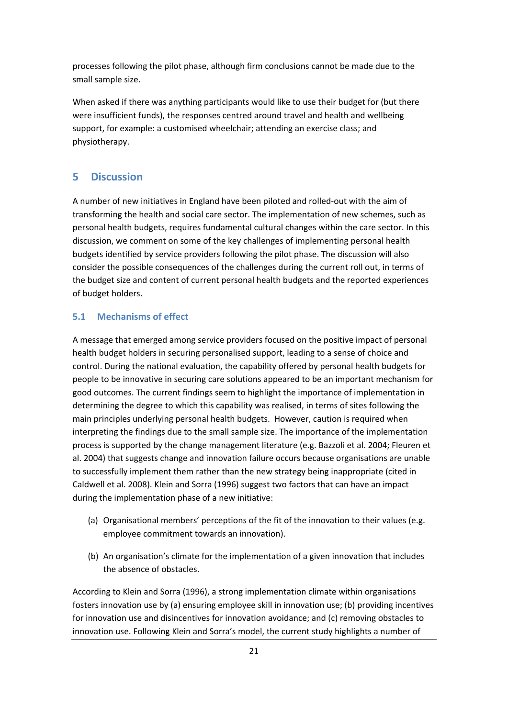processes following the pilot phase, although firm conclusions cannot be made due to the small sample size.

When asked if there was anything participants would like to use their budget for (but there were insufficient funds), the responses centred around travel and health and wellbeing support, for example: a customised wheelchair; attending an exercise class; and physiotherapy.

#### **5 Discussion**

A number of new initiatives in England have been piloted and rolled-out with the aim of transforming the health and social care sector. The implementation of new schemes, such as personal health budgets, requires fundamental cultural changes within the care sector. In this discussion, we comment on some of the key challenges of implementing personal health budgets identified by service providers following the pilot phase. The discussion will also consider the possible consequences of the challenges during the current roll out, in terms of the budget size and content of current personal health budgets and the reported experiences of budget holders.

#### **5.1 Mechanisms of effect**

A message that emerged among service providers focused on the positive impact of personal health budget holders in securing personalised support, leading to a sense of choice and control. During the national evaluation, the capability offered by personal health budgets for people to be innovative in securing care solutions appeared to be an important mechanism for good outcomes. The current findings seem to highlight the importance of implementation in determining the degree to which this capability was realised, in terms of sites following the main principles underlying personal health budgets. However, caution is required when interpreting the findings due to the small sample size. The importance of the implementation process is supported by the change management literature (e.g. Bazzoli et al. 2004; Fleuren et al. 2004) that suggests change and innovation failure occurs because organisations are unable to successfully implement them rather than the new strategy being inappropriate (cited in Caldwell et al. 2008). Klein and Sorra (1996) suggest two factors that can have an impact during the implementation phase of a new initiative:

- (a) Organisational members' perceptions of the fit of the innovation to their values (e.g. employee commitment towards an innovation).
- (b) An organisation's climate for the implementation of a given innovation that includes the absence of obstacles.

According to Klein and Sorra (1996), a strong implementation climate within organisations fosters innovation use by (a) ensuring employee skill in innovation use; (b) providing incentives for innovation use and disincentives for innovation avoidance; and (c) removing obstacles to innovation use. Following Klein and Sorra's model, the current study highlights a number of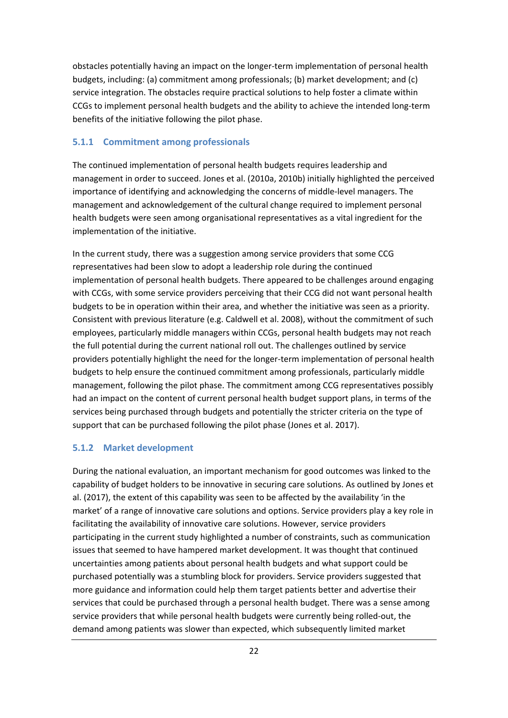obstacles potentially having an impact on the longer-term implementation of personal health budgets, including: (a) commitment among professionals; (b) market development; and (c) service integration. The obstacles require practical solutions to help foster a climate within CCGs to implement personal health budgets and the ability to achieve the intended long-term benefits of the initiative following the pilot phase.

#### **5.1.1 Commitment among professionals**

The continued implementation of personal health budgets requires leadership and management in order to succeed. Jones et al. (2010a, 2010b) initially highlighted the perceived importance of identifying and acknowledging the concerns of middle-level managers. The management and acknowledgement of the cultural change required to implement personal health budgets were seen among organisational representatives as a vital ingredient for the implementation of the initiative.

In the current study, there was a suggestion among service providers that some CCG representatives had been slow to adopt a leadership role during the continued implementation of personal health budgets. There appeared to be challenges around engaging with CCGs, with some service providers perceiving that their CCG did not want personal health budgets to be in operation within their area, and whether the initiative was seen as a priority. Consistent with previous literature (e.g. Caldwell et al. 2008), without the commitment of such employees, particularly middle managers within CCGs, personal health budgets may not reach the full potential during the current national roll out. The challenges outlined by service providers potentially highlight the need for the longer-term implementation of personal health budgets to help ensure the continued commitment among professionals, particularly middle management, following the pilot phase. The commitment among CCG representatives possibly had an impact on the content of current personal health budget support plans, in terms of the services being purchased through budgets and potentially the stricter criteria on the type of support that can be purchased following the pilot phase (Jones et al. 2017).

#### **5.1.2 Market development**

During the national evaluation, an important mechanism for good outcomes was linked to the capability of budget holders to be innovative in securing care solutions. As outlined by Jones et al. (2017), the extent of this capability was seen to be affected by the availability 'in the market' of a range of innovative care solutions and options. Service providers play a key role in facilitating the availability of innovative care solutions. However, service providers participating in the current study highlighted a number of constraints, such as communication issues that seemed to have hampered market development. It was thought that continued uncertainties among patients about personal health budgets and what support could be purchased potentially was a stumbling block for providers. Service providers suggested that more guidance and information could help them target patients better and advertise their services that could be purchased through a personal health budget. There was a sense among service providers that while personal health budgets were currently being rolled-out, the demand among patients was slower than expected, which subsequently limited market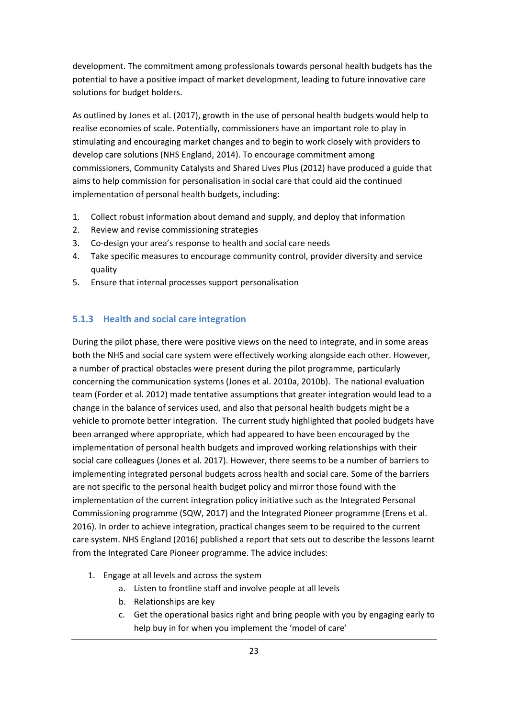development. The commitment among professionals towards personal health budgets has the potential to have a positive impact of market development, leading to future innovative care solutions for budget holders.

As outlined by Jones et al. (2017), growth in the use of personal health budgets would help to realise economies of scale. Potentially, commissioners have an important role to play in stimulating and encouraging market changes and to begin to work closely with providers to develop care solutions (NHS England, 2014). To encourage commitment among commissioners, Community Catalysts and Shared Lives Plus (2012) have produced a guide that aims to help commission for personalisation in social care that could aid the continued implementation of personal health budgets, including:

- 1. Collect robust information about demand and supply, and deploy that information
- 2. Review and revise commissioning strategies
- 3. Co-design your area's response to health and social care needs
- 4. Take specific measures to encourage community control, provider diversity and service quality
- 5. Ensure that internal processes support personalisation

#### **5.1.3 Health and social care integration**

During the pilot phase, there were positive views on the need to integrate, and in some areas both the NHS and social care system were effectively working alongside each other. However, a number of practical obstacles were present during the pilot programme, particularly concerning the communication systems (Jones et al. 2010a, 2010b). The national evaluation team (Forder et al. 2012) made tentative assumptions that greater integration would lead to a change in the balance of services used, and also that personal health budgets might be a vehicle to promote better integration. The current study highlighted that pooled budgets have been arranged where appropriate, which had appeared to have been encouraged by the implementation of personal health budgets and improved working relationships with their social care colleagues (Jones et al. 2017). However, there seems to be a number of barriers to implementing integrated personal budgets across health and social care. Some of the barriers are not specific to the personal health budget policy and mirror those found with the implementation of the current integration policy initiative such as the Integrated Personal Commissioning programme (SQW, 2017) and the Integrated Pioneer programme (Erens et al. 2016). In order to achieve integration, practical changes seem to be required to the current care system. NHS England (2016) published a report that sets out to describe the lessons learnt from the Integrated Care Pioneer programme. The advice includes:

- 1. Engage at all levels and across the system
	- a. Listen to frontline staff and involve people at all levels
	- b. Relationships are key
	- c. Get the operational basics right and bring people with you by engaging early to help buy in for when you implement the 'model of care'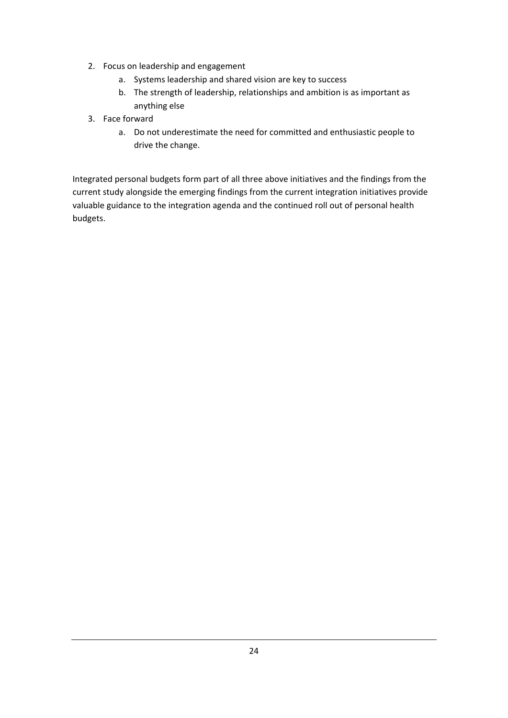- 2. Focus on leadership and engagement
	- a. Systems leadership and shared vision are key to success
	- b. The strength of leadership, relationships and ambition is as important as anything else
- 3. Face forward
	- a. Do not underestimate the need for committed and enthusiastic people to drive the change.

Integrated personal budgets form part of all three above initiatives and the findings from the current study alongside the emerging findings from the current integration initiatives provide valuable guidance to the integration agenda and the continued roll out of personal health budgets.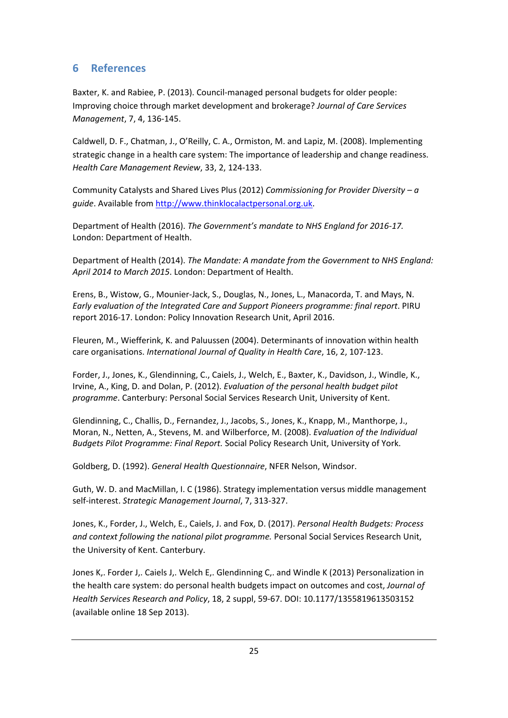#### **6 References**

Baxter, K. and Rabiee, P. (2013). Council-managed personal budgets for older people: Improving choice through market development and brokerage? *Journal of Care Services Management*, 7, 4, 136-145.

Caldwell, D. F., Chatman, J., O'Reilly, C. A., Ormiston, M. and Lapiz, M. (2008). Implementing strategic change in a health care system: The importance of leadership and change readiness. *Health Care Management Review*, 33, 2, 124-133.

Community Catalysts and Shared Lives Plus (2012) *Commissioning for Provider Diversity – a guide*. Available from http://www.thinklocalactpersonal.org.uk.

Department of Health (2016). *The Government's mandate to NHS England for 2016-17.* London: Department of Health.

Department of Health (2014). *The Mandate: A mandate from the Government to NHS England: April 2014 to March 2015*. London: Department of Health.

Erens, B., Wistow, G., Mounier-Jack, S., Douglas, N., Jones, L., Manacorda, T. and Mays, N. *Early evaluation of the Integrated Care and Support Pioneers programme: final report*. PIRU report 2016-17. London: Policy Innovation Research Unit, April 2016.

Fleuren, M., Wiefferink, K. and Paluussen (2004). Determinants of innovation within health care organisations. *International Journal of Quality in Health Care*, 16, 2, 107-123.

Forder, J., Jones, K., Glendinning, C., Caiels, J., Welch, E., Baxter, K., Davidson, J., Windle, K., Irvine, A., King, D. and Dolan, P. (2012). *Evaluation of the personal health budget pilot programme*. Canterbury: Personal Social Services Research Unit, University of Kent.

Glendinning, C., Challis, D., Fernandez, J., Jacobs, S., Jones, K., Knapp, M., Manthorpe, J., Moran, N., Netten, A., Stevens, M. and Wilberforce, M. (2008). *Evaluation of the Individual Budgets Pilot Programme: Final Report.* Social Policy Research Unit, University of York.

Goldberg, D. (1992). *General Health Questionnaire*, NFER Nelson, Windsor.

Guth, W. D. and MacMillan, I. C (1986). Strategy implementation versus middle management self-interest. *Strategic Management Journal*, 7, 313-327.

Jones, K., Forder, J., Welch, E., Caiels, J. and Fox, D. (2017). *Personal Health Budgets: Process and context following the national pilot programme.* Personal Social Services Research Unit, the University of Kent. Canterbury.

Jones K,. Forder J,. Caiels J,. Welch E,. Glendinning C,. and Windle K (2013) Personalization in the health care system: do personal health budgets impact on outcomes and cost, *Journal of Health Services Research and Policy*, 18, 2 suppl, 59-67. DOI: 10.1177/1355819613503152 (available online 18 Sep 2013).